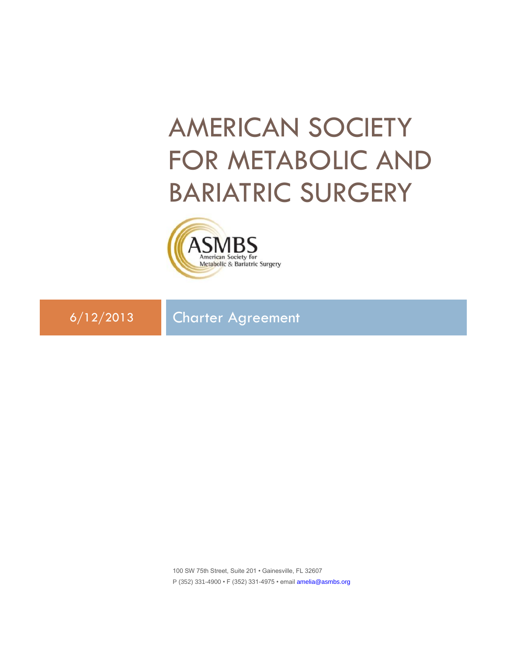# AMERICAN SOCIETY FOR METABOLIC AND BARIATRIC SURGERY



6/12/2013 Charter Agreement

100 SW 75th Street, Suite 201 • Gainesville, FL 32607 P (352) 331-4900 • F (352) 331-4975 • email [amelia@asmbs.org](mailto:amelia@asmbs.org)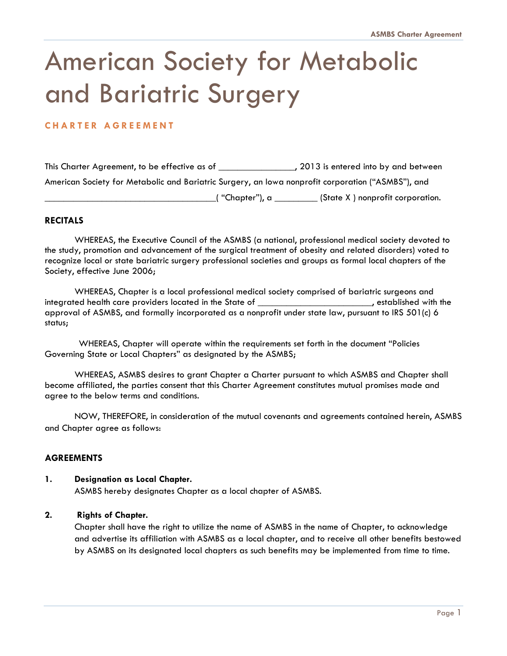## American Society for Metabolic and Bariatric Surgery

## **C H A R T E R A G R E E M E N T**

This Charter Agreement, to be effective as of \_\_\_\_\_\_\_\_\_\_\_\_\_\_\_, 2013 is entered into by and between American Society for Metabolic and Bariatric Surgery, an Iowa nonprofit corporation ("ASMBS"), and  $\Box$  "Chapter"), a \_\_\_\_\_\_\_\_\_\_\_\_ (State X ) nonprofit corporation.

## **RECITALS**

WHEREAS, the Executive Council of the ASMBS (a national, professional medical society devoted to the study, promotion and advancement of the surgical treatment of obesity and related disorders) voted to recognize local or state bariatric surgery professional societies and groups as formal local chapters of the Society, effective June 2006;

WHEREAS, Chapter is a local professional medical society comprised of bariatric surgeons and integrated health care providers located in the State of \_\_\_\_\_\_\_\_\_\_\_\_\_\_\_\_\_\_\_\_\_\_\_\_, established with the approval of ASMBS, and formally incorporated as a nonprofit under state law, pursuant to IRS 501(c) 6 status;

 WHEREAS, Chapter will operate within the requirements set forth in the document "Policies Governing State or Local Chapters" as designated by the ASMBS;

WHEREAS, ASMBS desires to grant Chapter a Charter pursuant to which ASMBS and Chapter shall become affiliated, the parties consent that this Charter Agreement constitutes mutual promises made and agree to the below terms and conditions.

NOW, THEREFORE, in consideration of the mutual covenants and agreements contained herein, ASMBS and Chapter agree as follows:

## **AGREEMENTS**

#### **1. Designation as Local Chapter.**

ASMBS hereby designates Chapter as a local chapter of ASMBS.

#### **2. Rights of Chapter.**

Chapter shall have the right to utilize the name of ASMBS in the name of Chapter, to acknowledge and advertise its affiliation with ASMBS as a local chapter, and to receive all other benefits bestowed by ASMBS on its designated local chapters as such benefits may be implemented from time to time.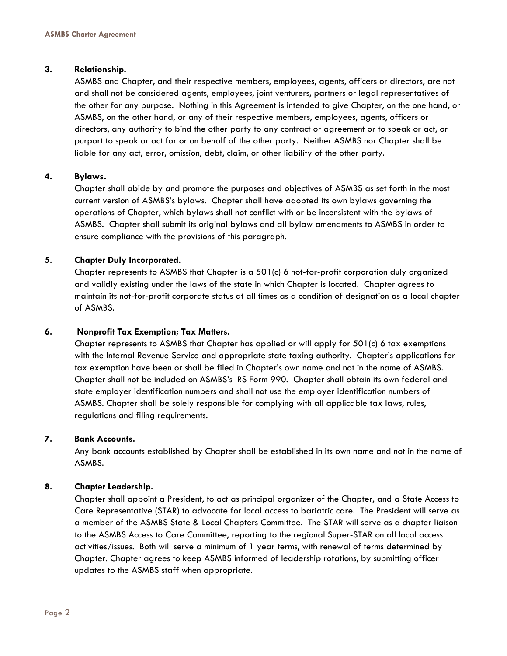#### **3. Relationship.**

ASMBS and Chapter, and their respective members, employees, agents, officers or directors, are not and shall not be considered agents, employees, joint venturers, partners or legal representatives of the other for any purpose. Nothing in this Agreement is intended to give Chapter, on the one hand, or ASMBS, on the other hand, or any of their respective members, employees, agents, officers or directors, any authority to bind the other party to any contract or agreement or to speak or act, or purport to speak or act for or on behalf of the other party. Neither ASMBS nor Chapter shall be liable for any act, error, omission, debt, claim, or other liability of the other party.

#### **4. Bylaws.**

Chapter shall abide by and promote the purposes and objectives of ASMBS as set forth in the most current version of ASMBS's bylaws. Chapter shall have adopted its own bylaws governing the operations of Chapter, which bylaws shall not conflict with or be inconsistent with the bylaws of ASMBS. Chapter shall submit its original bylaws and all bylaw amendments to ASMBS in order to ensure compliance with the provisions of this paragraph.

#### **5. Chapter Duly Incorporated.**

Chapter represents to ASMBS that Chapter is a 501(c) 6 not-for-profit corporation duly organized and validly existing under the laws of the state in which Chapter is located. Chapter agrees to maintain its not-for-profit corporate status at all times as a condition of designation as a local chapter of ASMBS.

#### **6. Nonprofit Tax Exemption; Tax Matters.**

Chapter represents to ASMBS that Chapter has applied or will apply for 501(c) 6 tax exemptions with the Internal Revenue Service and appropriate state taxing authority. Chapter's applications for tax exemption have been or shall be filed in Chapter's own name and not in the name of ASMBS. Chapter shall not be included on ASMBS's IRS Form 990. Chapter shall obtain its own federal and state employer identification numbers and shall not use the employer identification numbers of ASMBS. Chapter shall be solely responsible for complying with all applicable tax laws, rules, regulations and filing requirements.

#### **7. Bank Accounts.**

Any bank accounts established by Chapter shall be established in its own name and not in the name of ASMBS.

#### **8. Chapter Leadership.**

Chapter shall appoint a President, to act as principal organizer of the Chapter, and a State Access to Care Representative (STAR) to advocate for local access to bariatric care. The President will serve as a member of the ASMBS State & Local Chapters Committee. The STAR will serve as a chapter liaison to the ASMBS Access to Care Committee, reporting to the regional Super-STAR on all local access activities/issues. Both will serve a minimum of 1 year terms, with renewal of terms determined by Chapter. Chapter agrees to keep ASMBS informed of leadership rotations, by submitting officer updates to the ASMBS staff when appropriate.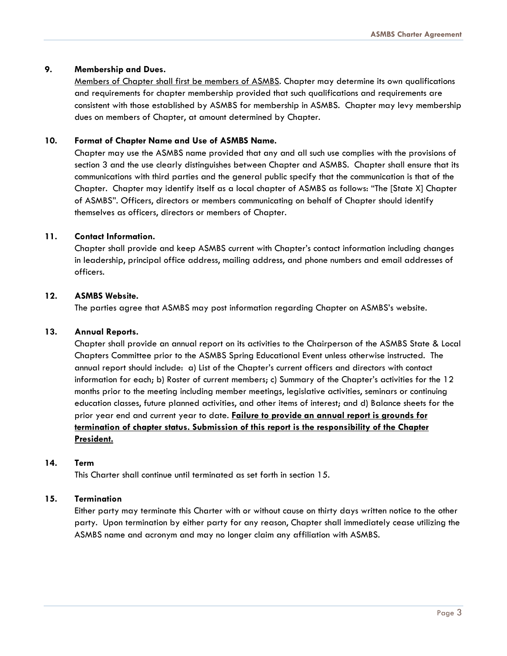## **9. Membership and Dues.**

Members of Chapter shall first be members of ASMBS. Chapter may determine its own qualifications and requirements for chapter membership provided that such qualifications and requirements are consistent with those established by ASMBS for membership in ASMBS. Chapter may levy membership dues on members of Chapter, at amount determined by Chapter.

## **10. Format of Chapter Name and Use of ASMBS Name.**

Chapter may use the ASMBS name provided that any and all such use complies with the provisions of section 3 and the use clearly distinguishes between Chapter and ASMBS. Chapter shall ensure that its communications with third parties and the general public specify that the communication is that of the Chapter. Chapter may identify itself as a local chapter of ASMBS as follows: "The [State X] Chapter of ASMBS". Officers, directors or members communicating on behalf of Chapter should identify themselves as officers, directors or members of Chapter.

### **11. Contact Information.**

Chapter shall provide and keep ASMBS current with Chapter's contact information including changes in leadership, principal office address, mailing address, and phone numbers and email addresses of officers.

### **12. ASMBS Website.**

The parties agree that ASMBS may post information regarding Chapter on ASMBS's website.

#### **13. Annual Reports.**

Chapter shall provide an annual report on its activities to the Chairperson of the ASMBS State & Local Chapters Committee prior to the ASMBS Spring Educational Event unless otherwise instructed. The annual report should include: a) List of the Chapter's current officers and directors with contact information for each; b) Roster of current members; c) Summary of the Chapter's activities for the 12 months prior to the meeting including member meetings, legislative activities, seminars or continuing education classes, future planned activities, and other items of interest; and d) Balance sheets for the prior year end and current year to date. **Failure to provide an annual report is grounds for termination of chapter status. Submission of this report is the responsibility of the Chapter President.**

#### **14. Term**

This Charter shall continue until terminated as set forth in section 15.

#### **15. Termination**

Either party may terminate this Charter with or without cause on thirty days written notice to the other party. Upon termination by either party for any reason, Chapter shall immediately cease utilizing the ASMBS name and acronym and may no longer claim any affiliation with ASMBS.